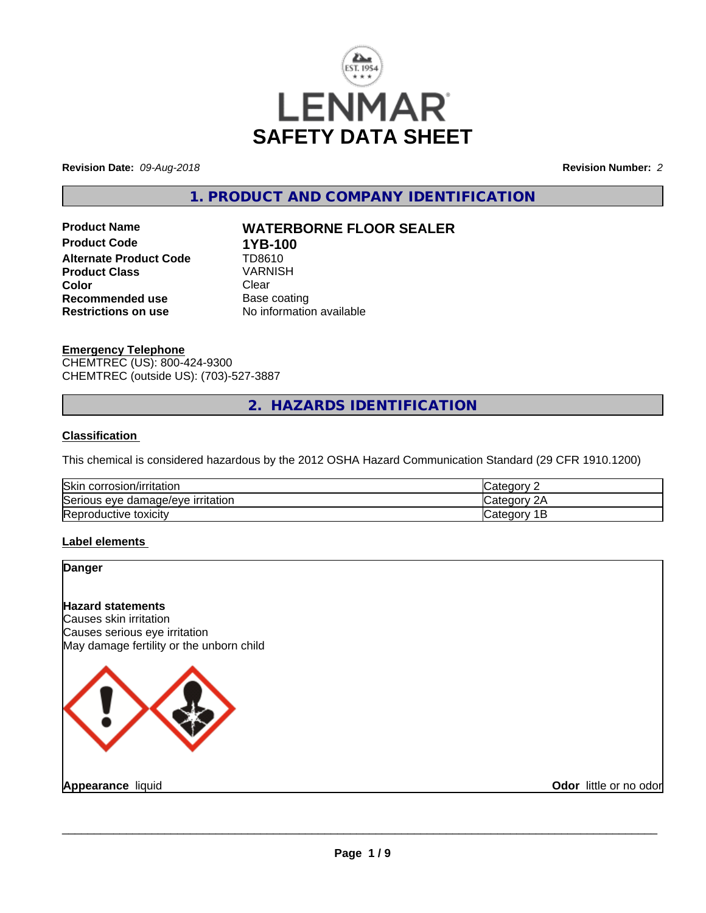

**Revision Date:** *09-Aug-2018* **Revision Number:** *2*

**1. PRODUCT AND COMPANY IDENTIFICATION**

**Product Code 1YB-100**<br>**Alternate Product Code 1D8610 Alternate Product Code Product Class** VARNISH<br> **Color** Clear **Color** Clear Clear **Recommended use** Base coating<br> **Restrictions on use** No information

# **Product Name WATERBORNE FLOOR SEALER**

**No information available** 

## **Emergency Telephone**

CHEMTREC (US): 800-424-9300 CHEMTREC (outside US): (703)-527-3887

# **2. HAZARDS IDENTIFICATION**

### **Classification**

This chemical is considered hazardous by the 2012 OSHA Hazard Communication Standard (29 CFR 1910.1200)

| Skir<br>rosion/irritation<br>corr         | $\sim$ $\sim$ $\sim$<br>Ħ |
|-------------------------------------------|---------------------------|
| Serious eye<br>irritation<br>damade/eve \ | 10                        |
| Repr<br>toxicity<br>oductive              | Ħ<br>-                    |

## **Label elements**

### **Danger**

**Hazard statements** Causes skin irritation Causes serious eye irritation May damage fertility or the unborn child



**Appearance** liquid

**Odor** little or no odor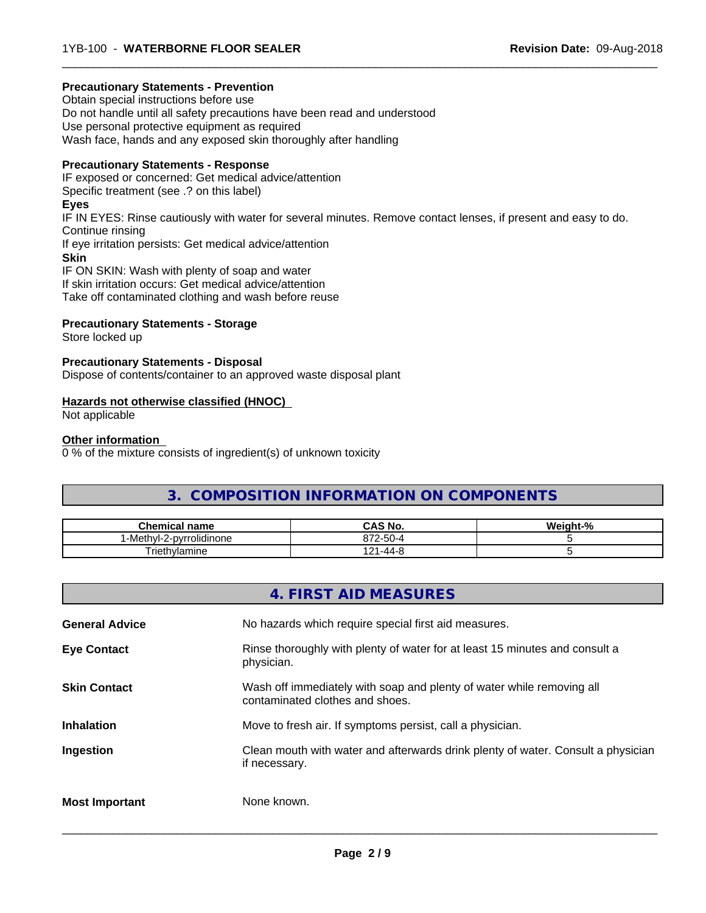#### **Precautionary Statements - Prevention**

Obtain special instructions before use Do not handle until all safety precautions have been read and understood Use personal protective equipment as required Wash face, hands and any exposed skin thoroughly after handling

#### **Precautionary Statements - Response**

IF exposed or concerned: Get medical advice/attention Specific treatment (see .? on this label) **Eyes** IF IN EYES: Rinse cautiously with water for several minutes. Remove contact lenses, if present and easy to do. Continue rinsing If eye irritation persists: Get medical advice/attention **Skin** IF ON SKIN: Wash with plenty of soap and water If skin irritation occurs: Get medical advice/attention Take off contaminated clothing and wash before reuse

 $\overline{\phantom{a}}$  ,  $\overline{\phantom{a}}$  ,  $\overline{\phantom{a}}$  ,  $\overline{\phantom{a}}$  ,  $\overline{\phantom{a}}$  ,  $\overline{\phantom{a}}$  ,  $\overline{\phantom{a}}$  ,  $\overline{\phantom{a}}$  ,  $\overline{\phantom{a}}$  ,  $\overline{\phantom{a}}$  ,  $\overline{\phantom{a}}$  ,  $\overline{\phantom{a}}$  ,  $\overline{\phantom{a}}$  ,  $\overline{\phantom{a}}$  ,  $\overline{\phantom{a}}$  ,  $\overline{\phantom{a}}$ 

### **Precautionary Statements - Storage**

Store locked up

#### **Precautionary Statements - Disposal**

Dispose of contents/container to an approved waste disposal plant

#### **Hazards not otherwise classified (HNOC)**

Not applicable

#### **Other information**

0 % of the mixture consists of ingredient(s) of unknown toxicity

# **3. COMPOSITION INFORMATION ON COMPONENTS**

| <b>Chemical name</b>                              | $\sim$ 11<br>$\neg$ $\wedge$<br>CAS No.     | .<br>eiaht<br>$\cdot$ /0 |
|---------------------------------------------------|---------------------------------------------|--------------------------|
| . .<br>$\cdot$ .<br>-Meth∨l-2-ı<br>-pvrrolidinone | $\sim$<br>070<br>$2 - 211 - 7$<br>01 Z<br>ື |                          |
| Triethylamine                                     | 1 O 1<br>-44-2<br>.                         |                          |

|                       | 4. FIRST AID MEASURES                                                                                    |
|-----------------------|----------------------------------------------------------------------------------------------------------|
| <b>General Advice</b> | No hazards which require special first aid measures.                                                     |
| <b>Eye Contact</b>    | Rinse thoroughly with plenty of water for at least 15 minutes and consult a<br>physician.                |
| <b>Skin Contact</b>   | Wash off immediately with soap and plenty of water while removing all<br>contaminated clothes and shoes. |
| <b>Inhalation</b>     | Move to fresh air. If symptoms persist, call a physician.                                                |
| Ingestion             | Clean mouth with water and afterwards drink plenty of water. Consult a physician<br>if necessary.        |
| <b>Most Important</b> | None known.                                                                                              |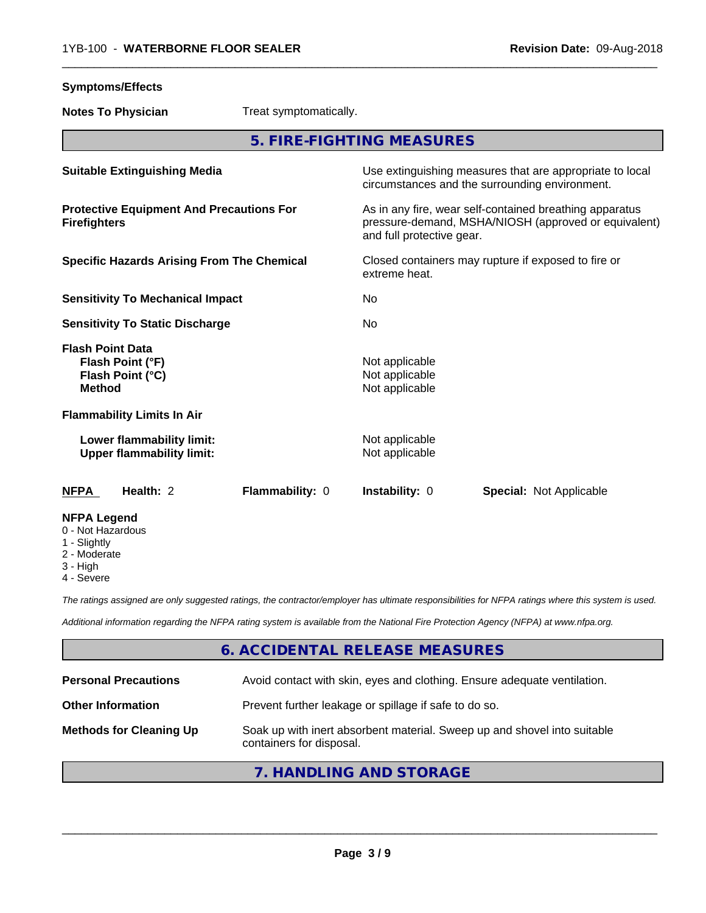**Symptoms/Effects**

| <b>Notes To Physician</b>                                                           | Treat symptomatically. |                                                    |                                                                                                                 |
|-------------------------------------------------------------------------------------|------------------------|----------------------------------------------------|-----------------------------------------------------------------------------------------------------------------|
|                                                                                     |                        | 5. FIRE-FIGHTING MEASURES                          |                                                                                                                 |
| <b>Suitable Extinguishing Media</b>                                                 |                        |                                                    | Use extinguishing measures that are appropriate to local<br>circumstances and the surrounding environment.      |
| <b>Protective Equipment And Precautions For</b><br><b>Firefighters</b>              |                        | and full protective gear.                          | As in any fire, wear self-contained breathing apparatus<br>pressure-demand, MSHA/NIOSH (approved or equivalent) |
| <b>Specific Hazards Arising From The Chemical</b>                                   |                        | extreme heat.                                      | Closed containers may rupture if exposed to fire or                                                             |
| <b>Sensitivity To Mechanical Impact</b>                                             |                        | No                                                 |                                                                                                                 |
| <b>Sensitivity To Static Discharge</b>                                              |                        | No                                                 |                                                                                                                 |
| <b>Flash Point Data</b><br>Flash Point (°F)<br>Flash Point (°C)<br><b>Method</b>    |                        | Not applicable<br>Not applicable<br>Not applicable |                                                                                                                 |
| <b>Flammability Limits In Air</b>                                                   |                        |                                                    |                                                                                                                 |
| Lower flammability limit:<br><b>Upper flammability limit:</b>                       |                        | Not applicable<br>Not applicable                   |                                                                                                                 |
| <b>NFPA</b><br>Health: 2                                                            | Flammability: 0        | Instability: 0                                     | <b>Special: Not Applicable</b>                                                                                  |
| <b>NFPA Legend</b><br>0 - Not Hazardous<br>1 - Slightly<br>2 - Moderate<br>3 - High |                        |                                                    |                                                                                                                 |

 $\overline{\phantom{a}}$  ,  $\overline{\phantom{a}}$  ,  $\overline{\phantom{a}}$  ,  $\overline{\phantom{a}}$  ,  $\overline{\phantom{a}}$  ,  $\overline{\phantom{a}}$  ,  $\overline{\phantom{a}}$  ,  $\overline{\phantom{a}}$  ,  $\overline{\phantom{a}}$  ,  $\overline{\phantom{a}}$  ,  $\overline{\phantom{a}}$  ,  $\overline{\phantom{a}}$  ,  $\overline{\phantom{a}}$  ,  $\overline{\phantom{a}}$  ,  $\overline{\phantom{a}}$  ,  $\overline{\phantom{a}}$ 

4 - Severe

*The ratings assigned are only suggested ratings, the contractor/employer has ultimate responsibilities for NFPA ratings where this system is used.*

*Additional information regarding the NFPA rating system is available from the National Fire Protection Agency (NFPA) at www.nfpa.org.*

# **6. ACCIDENTAL RELEASE MEASURES**

| <b>Personal Precautions</b>    | Avoid contact with skin, eyes and clothing. Ensure adequate ventilation.                             |  |
|--------------------------------|------------------------------------------------------------------------------------------------------|--|
| <b>Other Information</b>       | Prevent further leakage or spillage if safe to do so.                                                |  |
| <b>Methods for Cleaning Up</b> | Soak up with inert absorbent material. Sweep up and shovel into suitable<br>containers for disposal. |  |
|                                | 7. HANDLING AND STORAGE                                                                              |  |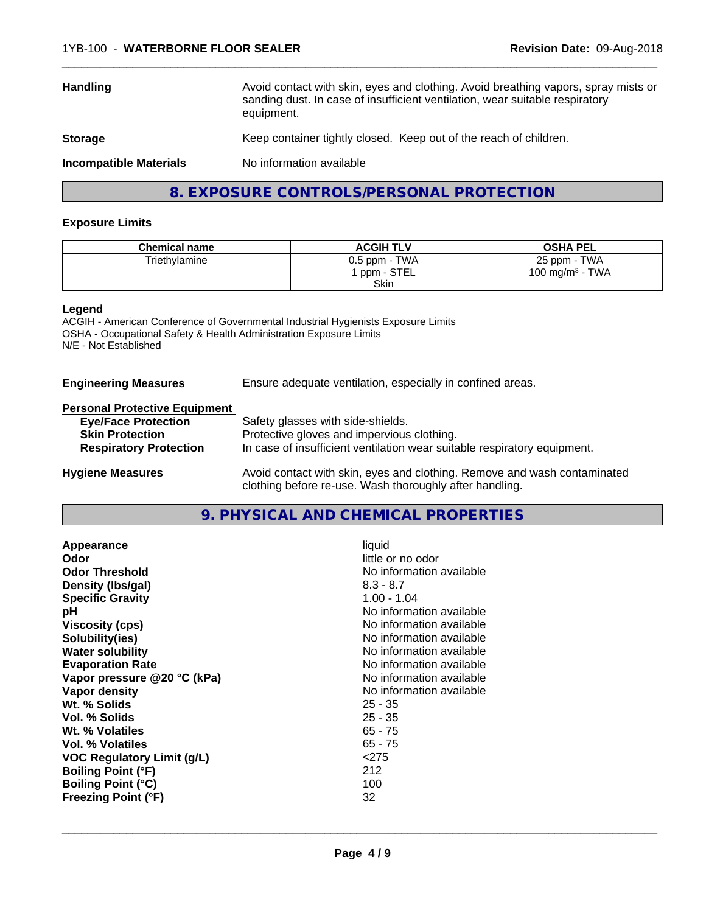| <b>Handling</b>               | Avoid contact with skin, eyes and clothing. Avoid breathing vapors, spray mists or<br>sanding dust. In case of insufficient ventilation, wear suitable respiratory<br>equipment. |
|-------------------------------|----------------------------------------------------------------------------------------------------------------------------------------------------------------------------------|
| <b>Storage</b>                | Keep container tightly closed. Keep out of the reach of children.                                                                                                                |
| <b>Incompatible Materials</b> | No information available                                                                                                                                                         |

 $\overline{\phantom{a}}$  ,  $\overline{\phantom{a}}$  ,  $\overline{\phantom{a}}$  ,  $\overline{\phantom{a}}$  ,  $\overline{\phantom{a}}$  ,  $\overline{\phantom{a}}$  ,  $\overline{\phantom{a}}$  ,  $\overline{\phantom{a}}$  ,  $\overline{\phantom{a}}$  ,  $\overline{\phantom{a}}$  ,  $\overline{\phantom{a}}$  ,  $\overline{\phantom{a}}$  ,  $\overline{\phantom{a}}$  ,  $\overline{\phantom{a}}$  ,  $\overline{\phantom{a}}$  ,  $\overline{\phantom{a}}$ 

# **8. EXPOSURE CONTROLS/PERSONAL PROTECTION**

### **Exposure Limits**

| <b>Chemical name</b> | <b>ACGIH TLV</b> | <b>OSHA PEL</b>                        |
|----------------------|------------------|----------------------------------------|
| Triethylamine        | $0.5$ ppm - TWA  | 25 ppm - TWA                           |
|                      | 'ppm - STEL      | TWA<br>100 mg/m <sup>3</sup> - $\cdot$ |
|                      | <b>Skin</b>      |                                        |

#### **Legend**

ACGIH - American Conference of Governmental Industrial Hygienists Exposure Limits OSHA - Occupational Safety & Health Administration Exposure Limits N/E - Not Established

#### **Engineering Measures** Ensure adequate ventilation, especially in confined areas.

### **Personal Protective Equipment**

| <b>Eye/Face Protection</b>    | Safety glasses with side-shields.                                        |
|-------------------------------|--------------------------------------------------------------------------|
| <b>Skin Protection</b>        | Protective gloves and impervious clothing.                               |
| <b>Respiratory Protection</b> | In case of insufficient ventilation wear suitable respiratory equipment. |
| <b>Hygiene Measures</b>       | Avoid contact with skin, eyes and clothing. Remove and wash contaminated |

clothing before re-use. Wash thoroughly after handling.

**9. PHYSICAL AND CHEMICAL PROPERTIES**

| Appearance                  | liquid                   |
|-----------------------------|--------------------------|
| Odor                        | little or no odor        |
| <b>Odor Threshold</b>       | No information available |
| Density (Ibs/gal)           | $8.3 - 8.7$              |
| <b>Specific Gravity</b>     | $1.00 - 1.04$            |
| рH                          | No information available |
| <b>Viscosity (cps)</b>      | No information available |
| Solubility(ies)             | No information available |
| <b>Water solubility</b>     | No information available |
| <b>Evaporation Rate</b>     | No information available |
| Vapor pressure @20 °C (kPa) | No information available |
| Vapor density               | No information available |
| Wt. % Solids                | $25 - 35$                |
| Vol. % Solids               | $25 - 35$                |
| Wt. % Volatiles             | $65 - 75$                |
| Vol. % Volatiles            | $65 - 75$                |
| VOC Regulatory Limit (g/L)  | < 275                    |
| <b>Boiling Point (°F)</b>   | 212                      |
| <b>Boiling Point (°C)</b>   | 100                      |
| <b>Freezing Point (°F)</b>  | 32                       |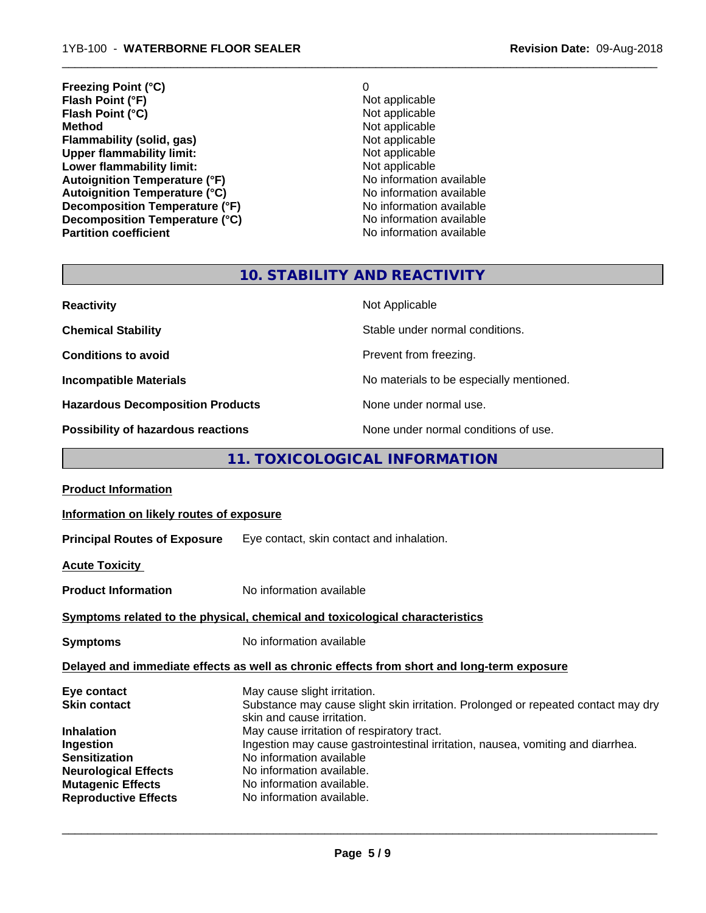**Freezing Point (°C)** 0 **Flash Point (°F)**<br> **Flash Point (°C)**<br> **Flash Point (°C)**<br> **C** Not applicable **Flash Point (°C)**<br>Method **Flammability (solid, gas)**<br> **Commability limit:**<br>
Upper flammability limit:<br>
Not applicable **Upper flammability limit:**<br> **Lower flammability limit:**<br>
Not applicable<br>
Not applicable **Lower flammability limit:**<br> **Autoignition Temperature (°F)**<br>
Mo information available Autoignition Temperature (°F)<br>
Autoignition Temperature (°C)<br>
No information available **Autoignition Temperature (°C)**<br> **Decomposition Temperature (°F)** No information available **Decomposition Temperature (°F) Decomposition Temperature (°C)** No information available

**Not applicable**<br>Not applicable **No information available** 

 $\overline{\phantom{a}}$  ,  $\overline{\phantom{a}}$  ,  $\overline{\phantom{a}}$  ,  $\overline{\phantom{a}}$  ,  $\overline{\phantom{a}}$  ,  $\overline{\phantom{a}}$  ,  $\overline{\phantom{a}}$  ,  $\overline{\phantom{a}}$  ,  $\overline{\phantom{a}}$  ,  $\overline{\phantom{a}}$  ,  $\overline{\phantom{a}}$  ,  $\overline{\phantom{a}}$  ,  $\overline{\phantom{a}}$  ,  $\overline{\phantom{a}}$  ,  $\overline{\phantom{a}}$  ,  $\overline{\phantom{a}}$ 

# **10. STABILITY AND REACTIVITY**

| <b>Reactivity</b>                       | Not Applicable                           |
|-----------------------------------------|------------------------------------------|
| <b>Chemical Stability</b>               | Stable under normal conditions.          |
| <b>Conditions to avoid</b>              | Prevent from freezing.                   |
| <b>Incompatible Materials</b>           | No materials to be especially mentioned. |
| <b>Hazardous Decomposition Products</b> | None under normal use.                   |
| Possibility of hazardous reactions      | None under normal conditions of use.     |

# **11. TOXICOLOGICAL INFORMATION**

| Information on likely routes of exposure                                                                                                                                                                                                         |
|--------------------------------------------------------------------------------------------------------------------------------------------------------------------------------------------------------------------------------------------------|
| <b>Principal Routes of Exposure</b> Eye contact, skin contact and inhalation.                                                                                                                                                                    |
|                                                                                                                                                                                                                                                  |
| No information available                                                                                                                                                                                                                         |
| Symptoms related to the physical, chemical and toxicological characteristics                                                                                                                                                                     |
| No information available                                                                                                                                                                                                                         |
| Delayed and immediate effects as well as chronic effects from short and long-term exposure                                                                                                                                                       |
| May cause slight irritation.<br>Substance may cause slight skin irritation. Prolonged or repeated contact may dry<br>skin and cause irritation.                                                                                                  |
| May cause irritation of respiratory tract.<br>Ingestion may cause gastrointestinal irritation, nausea, vomiting and diarrhea.<br>No information available<br>No information available.<br>No information available.<br>No information available. |
|                                                                                                                                                                                                                                                  |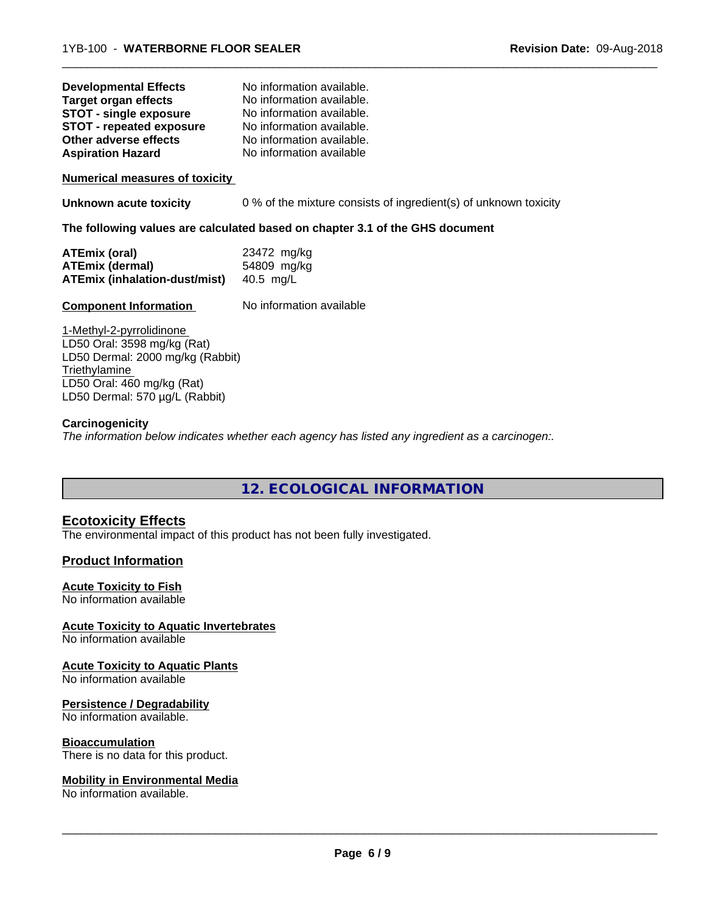| <b>Developmental Effects</b>    | No information available. |
|---------------------------------|---------------------------|
| <b>Target organ effects</b>     | No information available. |
| <b>STOT - single exposure</b>   | No information available. |
| <b>STOT - repeated exposure</b> | No information available. |
| Other adverse effects           | No information available. |
| <b>Aspiration Hazard</b>        | No information available  |

**Numerical measures of toxicity**

**Unknown acute toxicity** 0 % of the mixture consists of ingredient(s) of unknown toxicity

 $\overline{\phantom{a}}$  ,  $\overline{\phantom{a}}$  ,  $\overline{\phantom{a}}$  ,  $\overline{\phantom{a}}$  ,  $\overline{\phantom{a}}$  ,  $\overline{\phantom{a}}$  ,  $\overline{\phantom{a}}$  ,  $\overline{\phantom{a}}$  ,  $\overline{\phantom{a}}$  ,  $\overline{\phantom{a}}$  ,  $\overline{\phantom{a}}$  ,  $\overline{\phantom{a}}$  ,  $\overline{\phantom{a}}$  ,  $\overline{\phantom{a}}$  ,  $\overline{\phantom{a}}$  ,  $\overline{\phantom{a}}$ 

**The following values are calculated based on chapter 3.1 of the GHS document**

| ATEmix (oral)                        | 23472 mg/kg |
|--------------------------------------|-------------|
| <b>ATEmix (dermal)</b>               | 54809 mg/kg |
| <b>ATEmix (inhalation-dust/mist)</b> | 40.5 mg/L   |

### **Component Information** No information available

1-Methyl-2-pyrrolidinone LD50 Oral: 3598 mg/kg (Rat) LD50 Dermal: 2000 mg/kg (Rabbit) **Triethylamine** LD50 Oral: 460 mg/kg (Rat) LD50 Dermal: 570 µg/L (Rabbit)

### **Carcinogenicity**

*The information below indicateswhether each agency has listed any ingredient as a carcinogen:.*

**12. ECOLOGICAL INFORMATION**

## **Ecotoxicity Effects**

The environmental impact of this product has not been fully investigated.

#### **Product Information**

#### **Acute Toxicity to Fish**

No information available

#### **Acute Toxicity to Aquatic Invertebrates**

No information available

#### **Acute Toxicity to Aquatic Plants**

No information available

### **Persistence / Degradability**

No information available.

### **Bioaccumulation**

There is no data for this product.

### **Mobility in Environmental Media**

No information available.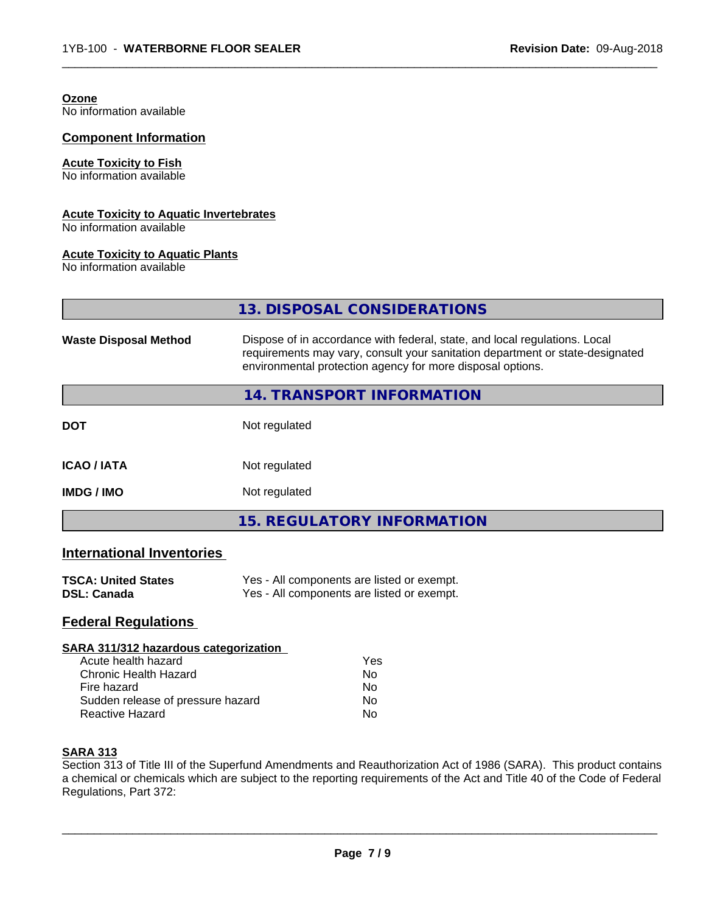| Ozone<br>No information available                                          |                                                                                                                                                                                                                           |
|----------------------------------------------------------------------------|---------------------------------------------------------------------------------------------------------------------------------------------------------------------------------------------------------------------------|
| <b>Component Information</b>                                               |                                                                                                                                                                                                                           |
| <b>Acute Toxicity to Fish</b><br>No information available                  |                                                                                                                                                                                                                           |
| <b>Acute Toxicity to Aquatic Invertebrates</b><br>No information available |                                                                                                                                                                                                                           |
| <b>Acute Toxicity to Aquatic Plants</b><br>No information available        |                                                                                                                                                                                                                           |
|                                                                            | 13. DISPOSAL CONSIDERATIONS                                                                                                                                                                                               |
| <b>Waste Disposal Method</b>                                               | Dispose of in accordance with federal, state, and local regulations. Local<br>requirements may vary, consult your sanitation department or state-designated<br>environmental protection agency for more disposal options. |
|                                                                            | 14. TRANSPORT INFORMATION                                                                                                                                                                                                 |
| <b>DOT</b>                                                                 | Not regulated                                                                                                                                                                                                             |
| <b>ICAO / IATA</b>                                                         | Not regulated                                                                                                                                                                                                             |
| <b>IMDG / IMO</b>                                                          | Not regulated                                                                                                                                                                                                             |
|                                                                            | <b>15. REGULATORY INFORMATION</b>                                                                                                                                                                                         |
| <b>International Inventories</b>                                           |                                                                                                                                                                                                                           |
| <b>TSCA: United States</b><br><b>DSL: Canada</b>                           | Yes - All components are listed or exempt.<br>Yes - All components are listed or exempt.                                                                                                                                  |

 $\overline{\phantom{a}}$  ,  $\overline{\phantom{a}}$  ,  $\overline{\phantom{a}}$  ,  $\overline{\phantom{a}}$  ,  $\overline{\phantom{a}}$  ,  $\overline{\phantom{a}}$  ,  $\overline{\phantom{a}}$  ,  $\overline{\phantom{a}}$  ,  $\overline{\phantom{a}}$  ,  $\overline{\phantom{a}}$  ,  $\overline{\phantom{a}}$  ,  $\overline{\phantom{a}}$  ,  $\overline{\phantom{a}}$  ,  $\overline{\phantom{a}}$  ,  $\overline{\phantom{a}}$  ,  $\overline{\phantom{a}}$ 

# **Federal Regulations**

## **SARA 311/312 hazardous categorization**

| Acute health hazard               | Yes |
|-----------------------------------|-----|
| Chronic Health Hazard             | Nο  |
| Fire hazard                       | N٥  |
| Sudden release of pressure hazard | Nο  |
| Reactive Hazard                   | N٥  |

# **SARA 313**

Section 313 of Title III of the Superfund Amendments and Reauthorization Act of 1986 (SARA). This product contains a chemical or chemicals which are subject to the reporting requirements of the Act and Title 40 of the Code of Federal Regulations, Part 372: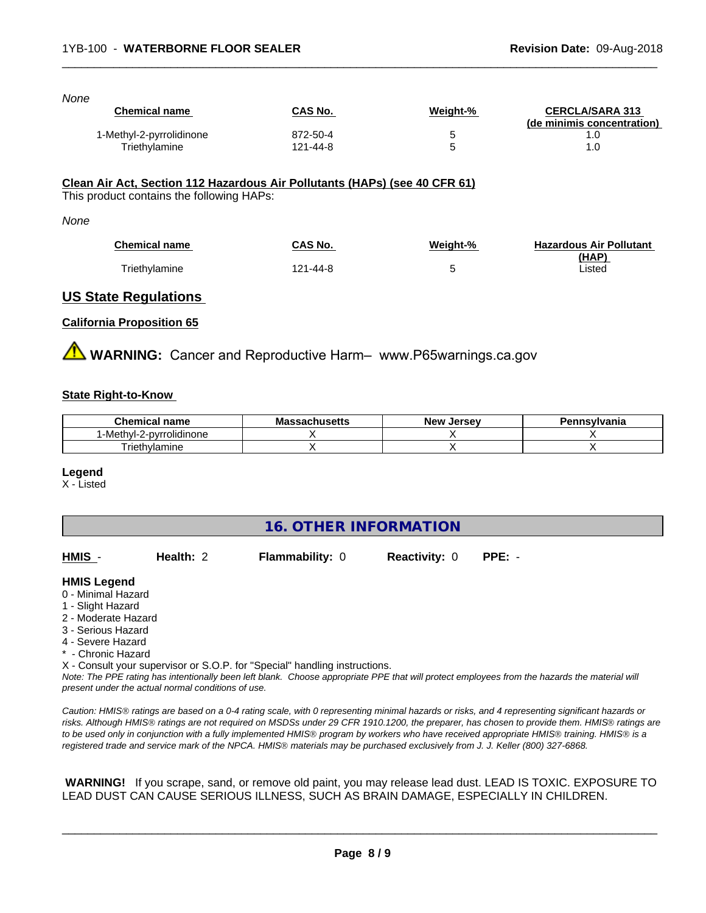| <b>Chemical name</b>     | CAS No.  | Weight-% | <b>CERCLA/SARA 313</b><br>(de minimis concentration) |
|--------------------------|----------|----------|------------------------------------------------------|
| 1-Methyl-2-pyrrolidinone | 872-50-4 | 5        | 1.0                                                  |
| Triethylamine            | 121-44-8 | 5        | 1.0                                                  |

 $\overline{\phantom{a}}$  ,  $\overline{\phantom{a}}$  ,  $\overline{\phantom{a}}$  ,  $\overline{\phantom{a}}$  ,  $\overline{\phantom{a}}$  ,  $\overline{\phantom{a}}$  ,  $\overline{\phantom{a}}$  ,  $\overline{\phantom{a}}$  ,  $\overline{\phantom{a}}$  ,  $\overline{\phantom{a}}$  ,  $\overline{\phantom{a}}$  ,  $\overline{\phantom{a}}$  ,  $\overline{\phantom{a}}$  ,  $\overline{\phantom{a}}$  ,  $\overline{\phantom{a}}$  ,  $\overline{\phantom{a}}$ 

This product contains the following HAPs:

#### *None*

| <b>Chemical name</b> | CAS No.  | Weight-% | <b>Hazardous Air Pollutant</b> |
|----------------------|----------|----------|--------------------------------|
|                      |          |          | (HAP)                          |
| Triethylamine        | '21-44-8 |          | isted                          |

### **US State Regulations**

#### **California Proposition 65**

**AVIMARNING:** Cancer and Reproductive Harm– www.P65warnings.ca.gov

#### **State Right-to-Know**

| hemical name<br>.           | $\cdots$<br>Мi<br>saunuseus | <b>Jerse</b> v<br><b>Nev</b> | <b>nsvivania</b> |
|-----------------------------|-----------------------------|------------------------------|------------------|
| Methvl-′<br>'-pyrrolidinone |                             |                              |                  |
| Friethylamine               |                             |                              |                  |

#### **Legend**

X - Listed

# **16. OTHER INFORMATION**

| HMIS -                                                                                                                          | Health: 2 | <b>Flammability: 0</b> | <b>Reactivity: 0</b> | $PPE: -$ |  |
|---------------------------------------------------------------------------------------------------------------------------------|-----------|------------------------|----------------------|----------|--|
| <b>HMIS Legend</b><br>0 - Minimal Hazard<br>1 - Slight Hazard<br>2 - Moderate Hazard<br>3 - Serious Hazard<br>4 - Severe Hazard |           |                        |                      |          |  |

\* - Chronic Hazard

X - Consult your supervisor or S.O.P. for "Special" handling instructions.

*Note: The PPE rating has intentionally been left blank. Choose appropriate PPE that will protect employees from the hazards the material will present under the actual normal conditions of use.*

*Caution: HMISÒ ratings are based on a 0-4 rating scale, with 0 representing minimal hazards or risks, and 4 representing significant hazards or risks. Although HMISÒ ratings are not required on MSDSs under 29 CFR 1910.1200, the preparer, has chosen to provide them. HMISÒ ratings are to be used only in conjunction with a fully implemented HMISÒ program by workers who have received appropriate HMISÒ training. HMISÒ is a registered trade and service mark of the NPCA. HMISÒ materials may be purchased exclusively from J. J. Keller (800) 327-6868.*

 **WARNING!** If you scrape, sand, or remove old paint, you may release lead dust. LEAD IS TOXIC. EXPOSURE TO LEAD DUST CAN CAUSE SERIOUS ILLNESS, SUCH AS BRAIN DAMAGE, ESPECIALLY IN CHILDREN.